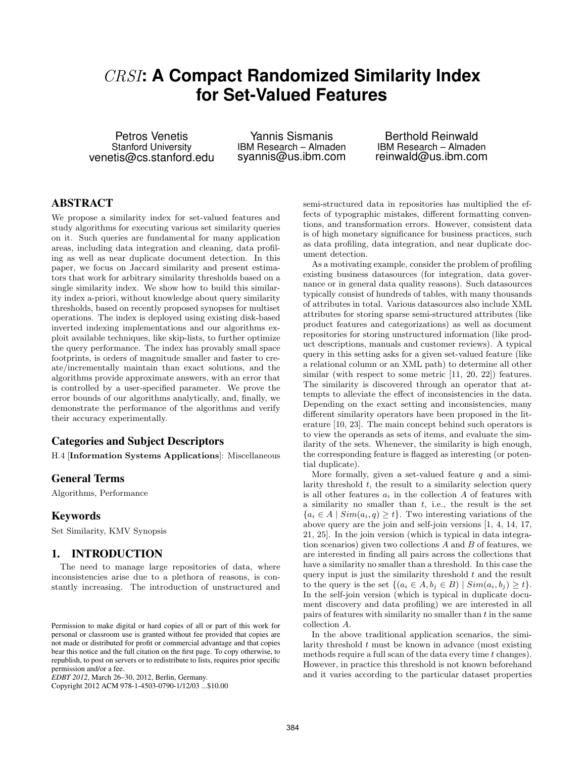# CRSI**: A Compact Randomized Similarity Index for Set-Valued Features**

Petros Venetis Stanford University venetis@cs.stanford.edu

Yannis Sismanis IBM Research – Almaden syannis@us.ibm.com

Berthold Reinwald IBM Research – Almaden reinwald@us.ibm.com

## **ABSTRACT**

We propose a similarity index for set-valued features and study algorithms for executing various set similarity queries on it. Such queries are fundamental for many application areas, including data integration and cleaning, data profiling as well as near duplicate document detection. In this paper, we focus on Jaccard similarity and present estimators that work for arbitrary similarity thresholds based on a single similarity index. We show how to build this similarity index a-priori, without knowledge about query similarity thresholds, based on recently proposed synopses for multiset operations. The index is deployed using existing disk-based inverted indexing implementations and our algorithms exploit available techniques, like skip-lists, to further optimize the query performance. The index has provably small space footprints, is orders of magnitude smaller and faster to create/incrementally maintain than exact solutions, and the algorithms provide approximate answers, with an error that is controlled by a user-specified parameter. We prove the error bounds of our algorithms analytically, and, finally, we demonstrate the performance of the algorithms and verify their accuracy experimentally.

## **Categories and Subject Descriptors**

H.4 [Information Systems Applications]: Miscellaneous

## **General Terms**

Algorithms, Performance

## **Keywords**

Set Similarity, KMV Synopsis

## **1. INTRODUCTION**

The need to manage large repositories of data, where inconsistencies arise due to a plethora of reasons, is constantly increasing. The introduction of unstructured and

Copyright 2012 ACM 978-1-4503-0790-1/12/03 ...\$10.00

semi-structured data in repositories has multiplied the effects of typographic mistakes, different formatting conventions, and transformation errors. However, consistent data is of high monetary significance for business practices, such as data profiling, data integration, and near duplicate document detection.

As a motivating example, consider the problem of profiling existing business datasources (for integration, data governance or in general data quality reasons). Such datasources typically consist of hundreds of tables, with many thousands of attributes in total. Various datasources also include XML attributes for storing sparse semi-structured attributes (like product features and categorizations) as well as document repositories for storing unstructured information (like product descriptions, manuals and customer reviews). A typical query in this setting asks for a given set-valued feature (like a relational column or an XML path) to determine all other similar (with respect to some metric [\[11,](#page-11-0) [20,](#page-11-1) [22\]](#page-11-2)) features. The similarity is discovered through an operator that attempts to alleviate the effect of inconsistencies in the data. Depending on the exact setting and inconsistencies, many different similarity operators have been proposed in the literature [\[10,](#page-11-3) [23\]](#page-11-4). The main concept behind such operators is to view the operands as sets of items, and evaluate the similarity of the sets. Whenever, the similarity is high enough, the corresponding feature is flagged as interesting (or potential duplicate).

More formally, given a set-valued feature  $q$  and a similarity threshold  $t$ , the result to a similarity selection query is all other features  $a_i$  in the collection A of features with a similarity no smaller than  $t$ , i.e., the result is the set  ${a_i \in A \mid Sim(a_i, q) \geq t}.$  Two interesting variations of the above query are the join and self-join versions [\[1,](#page-11-5) [4,](#page-11-6) [14,](#page-11-7) [17,](#page-11-8) [21,](#page-11-9) [25\]](#page-11-10). In the join version (which is typical in data integration scenarios) given two collections  $A$  and  $B$  of features, we are interested in finding all pairs across the collections that have a similarity no smaller than a threshold. In this case the query input is just the similarity threshold  $t$  and the result to the query is the set  $\{(a_i \in A, b_j \in B) \mid Sim(a_i, b_j) \geq t\}.$ In the self-join version (which is typical in duplicate document discovery and data profiling) we are interested in all pairs of features with similarity no smaller than  $t$  in the same collection A.

In the above traditional application scenarios, the similarity threshold  $t$  must be known in advance (most existing methods require a full scan of the data every time  $t$  changes). However, in practice this threshold is not known beforehand and it varies according to the particular dataset properties

Permission to make digital or hard copies of all or part of this work for personal or classroom use is granted without fee provided that copies are not made or distributed for profit or commercial advantage and that copies bear this notice and the full citation on the first page. To copy otherwise, to republish, to post on servers or to redistribute to lists, requires prior specific permission and/or a fee.

*EDBT 2012*, March 26–30, 2012, Berlin, Germany.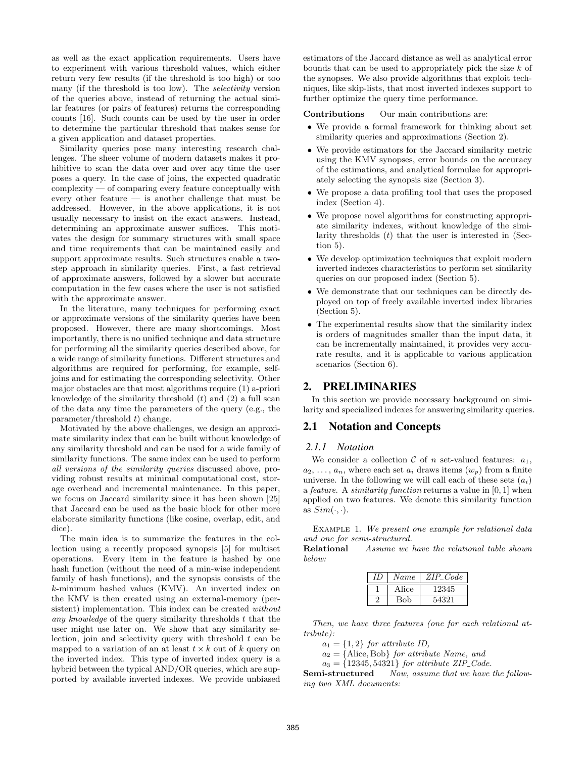as well as the exact application requirements. Users have to experiment with various threshold values, which either return very few results (if the threshold is too high) or too many (if the threshold is too low). The *selectivity* version of the queries above, instead of returning the actual similar features (or pairs of features) returns the corresponding counts [\[16\]](#page-11-11). Such counts can be used by the user in order to determine the particular threshold that makes sense for a given application and dataset properties.

Similarity queries pose many interesting research challenges. The sheer volume of modern datasets makes it prohibitive to scan the data over and over any time the user poses a query. In the case of joins, the expected quadratic complexity — of comparing every feature conceptually with every other feature — is another challenge that must be addressed. However, in the above applications, it is not usually necessary to insist on the exact answers. Instead, determining an approximate answer suffices. This motivates the design for summary structures with small space and time requirements that can be maintained easily and support approximate results. Such structures enable a twostep approach in similarity queries. First, a fast retrieval of approximate answers, followed by a slower but accurate computation in the few cases where the user is not satisfied with the approximate answer.

In the literature, many techniques for performing exact or approximate versions of the similarity queries have been proposed. However, there are many shortcomings. Most importantly, there is no unified technique and data structure for performing all the similarity queries described above, for a wide range of similarity functions. Different structures and algorithms are required for performing, for example, selfjoins and for estimating the corresponding selectivity. Other major obstacles are that most algorithms require (1) a-priori knowledge of the similarity threshold  $(t)$  and  $(2)$  a full scan of the data any time the parameters of the query (e.g., the  $parameter/threshold t) change.$ 

Motivated by the above challenges, we design an approximate similarity index that can be built without knowledge of any similarity threshold and can be used for a wide family of similarity functions. The same index can be used to perform *all versions of the similarity queries* discussed above, providing robust results at minimal computational cost, storage overhead and incremental maintenance. In this paper, we focus on Jaccard similarity since it has been shown [\[25\]](#page-11-10) that Jaccard can be used as the basic block for other more elaborate similarity functions (like cosine, overlap, edit, and dice).

The main idea is to summarize the features in the collection using a recently proposed synopsis [\[5\]](#page-11-12) for multiset operations. Every item in the feature is hashed by one hash function (without the need of a min-wise independent family of hash functions), and the synopsis consists of the k-minimum hashed values (KMV). An inverted index on the KMV is then created using an external-memory (persistent) implementation. This index can be created *without any knowledge* of the query similarity thresholds t that the user might use later on. We show that any similarity selection, join and selectivity query with threshold  $t$  can be mapped to a variation of an at least  $t \times k$  out of k query on the inverted index. This type of inverted index query is a hybrid between the typical AND/OR queries, which are supported by available inverted indexes. We provide unbiased estimators of the Jaccard distance as well as analytical error bounds that can be used to appropriately pick the size k of the synopses. We also provide algorithms that exploit techniques, like skip-lists, that most inverted indexes support to further optimize the query time performance.

Contributions Our main contributions are:

- We provide a formal framework for thinking about set similarity queries and approximations (Section [2\)](#page-1-0).
- We provide estimators for the Jaccard similarity metric using the KMV synopses, error bounds on the accuracy of the estimations, and analytical formulae for appropriately selecting the synopsis size (Section [3\)](#page-3-0).
- We propose a data profiling tool that uses the proposed index (Section [4\)](#page-4-0).
- We propose novel algorithms for constructing appropriate similarity indexes, without knowledge of the similarity thresholds  $(t)$  that the user is interested in (Section [5\)](#page-4-1).
- We develop optimization techniques that exploit modern inverted indexes characteristics to perform set similarity queries on our proposed index (Section [5\)](#page-4-1).
- We demonstrate that our techniques can be directly deployed on top of freely available inverted index libraries (Section [5\)](#page-4-1).
- The experimental results show that the similarity index is orders of magnitudes smaller than the input data, it can be incrementally maintained, it provides very accurate results, and it is applicable to various application scenarios (Section [6\)](#page-7-0).

# <span id="page-1-0"></span>**2. PRELIMINARIES**

In this section we provide necessary background on similarity and specialized indexes for answering similarity queries.

## **2.1 Notation and Concepts**

#### *2.1.1 Notation*

We consider a collection  $\mathcal C$  of n set-valued features:  $a_1$ ,  $a_2, \ldots, a_n$ , where each set  $a_i$  draws items  $(w_p)$  from a finite universe. In the following we will call each of these sets  $(a_i)$ a *feature*. A *similarity function* returns a value in [0, 1] when applied on two features. We denote this similarity function as  $Sim(\cdot, \cdot)$ .

<span id="page-1-1"></span>Example 1. *We present one example for relational data and one for semi-structured.*

Relational *Assume we have the relational table shown below:*

| Name  | $ZIP\_Code$ |
|-------|-------------|
| Alice | 12345       |
| Bob   | 54321       |

*Then, we have three features (one for each relational attribute):*

 $a_1 = \{1, 2\}$  *for attribute ID,* 

 $a_2 = \{\text{Alice}, \text{Bob}\}\$  *for attribute Name, and* 

 $a_3 = \{12345, 54321\}$  *for attribute ZIP\_Code.* 

Semi-structured *Now, assume that we have the following two XML documents:*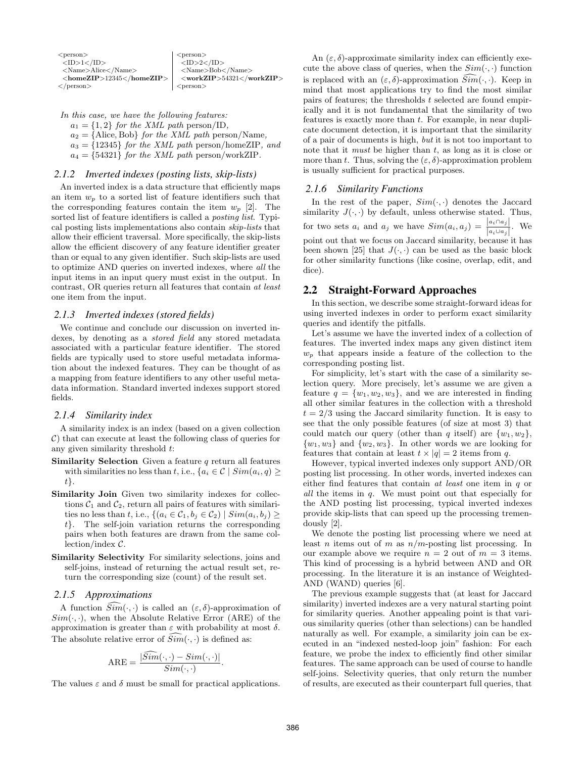| $<$ person $>$                   | $<$ person $>$                 |
|----------------------------------|--------------------------------|
| $<$ ID $>1$ $<$ /ID $>$          | $<$ ID>2 $<$ /ID>              |
| $<$ Name $>$ Alice $<$ /Name $>$ | $<$ Name $>$ Bob $<$ /Name $>$ |
| $<$ homeZIP>12345 $<$ /homeZIP>  | $<$ workZIP>54321              |
| $\langle$ /person $\rangle$      | $<$ person $>$                 |

| In this case, we have the following features:                       |
|---------------------------------------------------------------------|
| $a_1 = \{1, 2\}$ for the XML path person/ID.                        |
| $a_2 = \{\text{Alice}, \text{Bob}\}\$ for the XML path person/Name, |
| $a_3 = \{12345\}$ for the XML path person/homeZIP, and              |
| $a_4 = \{54321\}$ for the XML path person/workZIP.                  |

#### *2.1.2 Inverted indexes (posting lists, skip-lists)*

An inverted index is a data structure that efficiently maps an item  $w_p$  to a sorted list of feature identifiers such that the corresponding features contain the item  $w_p$  [\[2\]](#page-11-13). The sorted list of feature identifiers is called a *posting list*. Typical posting lists implementations also contain *skip-lists* that allow their efficient traversal. More specifically, the skip-lists allow the efficient discovery of any feature identifier greater than or equal to any given identifier. Such skip-lists are used to optimize AND queries on inverted indexes, where *all* the input items in an input query must exist in the output. In contrast, OR queries return all features that contain *at least* one item from the input.

#### *2.1.3 Inverted indexes (stored fields)*

We continue and conclude our discussion on inverted indexes, by denoting as a *stored field* any stored metadata associated with a particular feature identifier. The stored fields are typically used to store useful metadata information about the indexed features. They can be thought of as a mapping from feature identifiers to any other useful metadata information. Standard inverted indexes support stored fields.

#### *2.1.4 Similarity index*

A similarity index is an index (based on a given collection  $\mathcal{C}$ ) that can execute at least the following class of queries for any given similarity threshold t:

- **Similarity Selection** Given a feature  $q$  return all features with similarities no less than t, i.e.,  $\{a_i \in \mathcal{C} \mid Sim(a_i, q) \geq \}$ t}.
- Similarity Join Given two similarity indexes for collections  $C_1$  and  $C_2$ , return all pairs of features with similarities no less than t, i.e.,  $\{(a_i \in \mathcal{C}_1, b_j \in \mathcal{C}_2) \mid Sim(a_i, b_j) \geq$  $t$ . The self-join variation returns the corresponding pairs when both features are drawn from the same col $lection/indexC.$
- Similarity Selectivity For similarity selections, joins and self-joins, instead of returning the actual result set, return the corresponding size (count) of the result set.

## *2.1.5 Approximations*

A function  $\widetilde{Sim}(\cdot, \cdot)$  is called an  $(\varepsilon, \delta)$ -approximation of  $Sim(\cdot, \cdot)$ , when the Absolute Relative Error (ARE) of the approximation is greater than  $\varepsilon$  with probability at most  $\delta$ . The absolute relative error of  $Sim(\cdot, \cdot)$  is defined as:

$$
ARE = \frac{|\widehat{Sim}(\cdot, \cdot) - Sim(\cdot, \cdot)|}{Sim(\cdot, \cdot)}
$$

.

The values  $\varepsilon$  and  $\delta$  must be small for practical applications.

An  $(\varepsilon, \delta)$ -approximate similarity index can efficiently execute the above class of queries, when the  $Sim(\cdot, \cdot)$  function is replaced with an  $(\varepsilon, \delta)$ -approximation  $\widehat{Sim}(\cdot, \cdot)$ . Keep in mind that most applications try to find the most similar pairs of features; the thresholds  $t$  selected are found empirically and it is not fundamental that the similarity of two features is exactly more than t. For example, in near duplicate document detection, it is important that the similarity of a pair of documents is high, *but* it is not too important to note that it *must* be higher than t, as long as it is close or more than t. Thus, solving the  $(\varepsilon, \delta)$ -approximation problem is usually sufficient for practical purposes.

#### *2.1.6 Similarity Functions*

In the rest of the paper,  $Sim(\cdot, \cdot)$  denotes the Jaccard similarity  $J(\cdot, \cdot)$  by default, unless otherwise stated. Thus, for two sets  $a_i$  and  $a_j$  we have  $Sim(a_i, a_j) = \frac{|a_i \cap a_j|}{|a_i \cup a_j|}$ . We point out that we focus on Jaccard similarity, because it has been shown [\[25\]](#page-11-10) that  $J(\cdot, \cdot)$  can be used as the basic block for other similarity functions (like cosine, overlap, edit, and dice).

#### <span id="page-2-0"></span>**2.2 Straight-Forward Approaches**

In this section, we describe some straight-forward ideas for using inverted indexes in order to perform exact similarity queries and identify the pitfalls.

Let's assume we have the inverted index of a collection of features. The inverted index maps any given distinct item  $w_p$  that appears inside a feature of the collection to the corresponding posting list.

For simplicity, let's start with the case of a similarity selection query. More precisely, let's assume we are given a feature  $q = \{w_1, w_2, w_3\}$ , and we are interested in finding all other similar features in the collection with a threshold  $t = 2/3$  using the Jaccard similarity function. It is easy to see that the only possible features (of size at most 3) that could match our query (other than q itself) are  $\{w_1, w_2\}$ ,  $\{w_1, w_3\}$  and  $\{w_2, w_3\}$ . In other words we are looking for features that contain at least  $t \times |q| = 2$  items from q.

However, typical inverted indexes only support AND/OR posting list processing. In other words, inverted indexes can either find features that contain *at least* one item in q or *all* the items in q. We must point out that especially for the AND posting list processing, typical inverted indexes provide skip-lists that can speed up the processing tremendously [\[2\]](#page-11-13).

We denote the posting list processing where we need at least *n* items out of *m* as  $n/m$ -posting list processing. In our example above we require  $n = 2$  out of  $m = 3$  items. This kind of processing is a hybrid between AND and OR processing. In the literature it is an instance of Weighted-AND (WAND) queries [\[6\]](#page-11-14).

The previous example suggests that (at least for Jaccard similarity) inverted indexes are a very natural starting point for similarity queries. Another appealing point is that various similarity queries (other than selections) can be handled naturally as well. For example, a similarity join can be executed in an "indexed nested-loop join" fashion: For each feature, we probe the index to efficiently find other similar features. The same approach can be used of course to handle self-joins. Selectivity queries, that only return the number of results, are executed as their counterpart full queries, that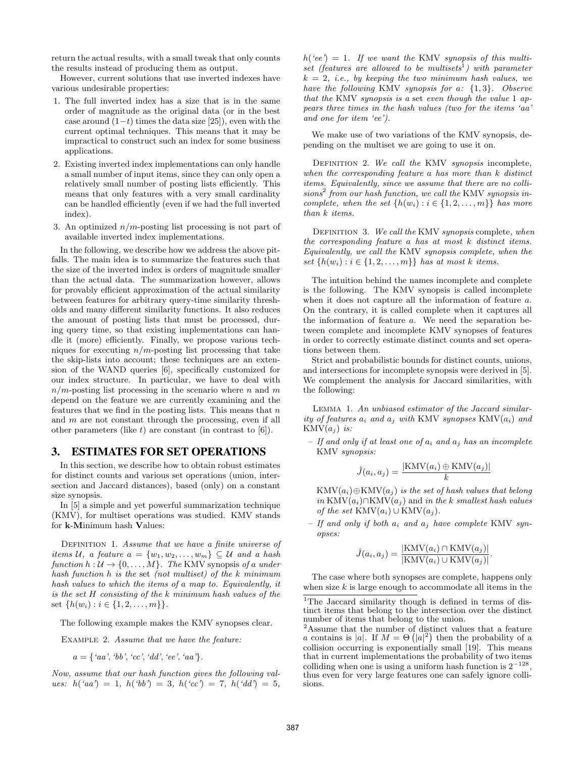return the actual results, with a small tweak that only counts the results instead of producing them as output.

However, current solutions that use inverted indexes have various undesirable properties:

- 1. The full inverted index has a size that is in the same order of magnitude as the original data (or in the best case around  $(1-t)$  times the data size [\[25\]](#page-11-10)), even with the current optimal techniques. This means that it may be impractical to construct such an index for some business applications.
- 2. Existing inverted index implementations can only handle a small number of input items, since they can only open a relatively small number of posting lists efficiently. This means that only features with a very small cardinality can be handled efficiently (even if we had the full inverted index).
- 3. An optimized  $n/m$ -posting list processing is not part of available inverted index implementations.

In the following, we describe how we address the above pitfalls. The main idea is to summarize the features such that the size of the inverted index is orders of magnitude smaller than the actual data. The summarization however, allows for provably efficient approximation of the actual similarity between features for arbitrary query-time similarity thresholds and many different similarity functions. It also reduces the amount of posting lists that must be processed, during query time, so that existing implementations can handle it (more) efficiently. Finally, we propose various techniques for executing  $n/m$ -posting list processing that take the skip-lists into account; these techniques are an extension of the WAND queries [\[6\]](#page-11-14), specifically customized for our index structure. In particular, we have to deal with  $n/m$ -posting list processing in the scenario where n and m depend on the feature we are currently examining and the features that we find in the posting lists. This means that  $n$ and  $m$  are not constant through the processing, even if all other parameters (like  $t$ ) are constant (in contrast to  $[6]$ ).

## <span id="page-3-0"></span>**3. ESTIMATES FOR SET OPERATIONS**

In this section, we describe how to obtain robust estimates for distinct counts and various set operations (union, intersection and Jaccard distances), based (only) on a constant size synopsis.

In [\[5\]](#page-11-12) a simple and yet powerful summarization technique (KMV), for multiset operations was studied. KMV stands for k-Minimum hash Values:

Definition 1. *Assume that we have a finite universe of items* U, a feature  $a = \{w_1, w_2, \ldots, w_m\} \subseteq U$  and a hash *function*  $h: U \to \{0, \ldots, M\}$ *. The* KMV synopsis *of* a *under hash function* h *is the* set *(not multiset) of the* k *minimum hash values to which the items of* a *map to. Equivalently, it is the set* H *consisting of the* k *minimum hash values of the* set  $\{h(w_i) : i \in \{1, 2, ..., m\}\}.$ 

The following example makes the KMV synopses clear.

Example 2. *Assume that we have the feature:*

 $a = \{ 'aa', 'bb', 'cc', 'dd', 'ee', 'aa' \}.$ 

*Now, assume that our hash function gives the following values:*  $h({^{\iota}}aa^{\iota}) = 1$ ,  $h({^{\iota}}bb^{\iota}) = 3$ ,  $h({^{\iota}}cc^{\iota}) = 7$ ,  $h({^{\iota}}dd^{\iota}) = 5$ ,

 $h$ <sup>('ee'</sup>) = 1. If we want the KMV *synopsis of this multiset (features are allowed to be multisets*[1](#page-3-1) *) with parameter*  $k = 2$ , *i.e.*, by keeping the two minimum hash values, we *have the following* KMV *synopsis for* a*:* {1, 3}*. Observe that the* KMV *synopsis is a* set *even though the value* 1 *appears three times in the hash values (two for the items 'aa' and one for item 'ee').*

We make use of two variations of the KMV synopsis, depending on the multiset we are going to use it on.

Definition 2. *We call the* KMV *synopsis* incomplete*, when the corresponding feature* a *has more than* k *distinct items. Equivalently, since we assume that there are no collisions*[2](#page-3-2) *from our hash function, we call the* KMV *synopsis incomplete, when the set*  $\{h(w_i) : i \in \{1, 2, ..., m\}\}\$  *has more than* k *items.*

Definition 3. *We call the* KMV *synopsis* complete*, when the corresponding feature* a *has at most* k *distinct items. Equivalently, we call the* KMV *synopsis complete, when the set*  $\{h(w_i) : i \in \{1, 2, ..., m\}\}\$  *has at most k items.* 

The intuition behind the names incomplete and complete is the following. The KMV synopsis is called incomplete when it does not capture all the information of feature a. On the contrary, it is called complete when it captures all the information of feature a. We need the separation between complete and incomplete KMV synopses of features in order to correctly estimate distinct counts and set operations between them.

Strict and probabilistic bounds for distinct counts, unions, and intersections for incomplete synopsis were derived in [\[5\]](#page-11-12). We complement the analysis for Jaccard similarities, with the following:

Lemma 1. *An unbiased estimator of the Jaccard similarity of features*  $a_i$  *and*  $a_j$  *with* KMV *synopses* KMV $(a_i)$  *and*  $KMV(a_i)$  is:

*– If and only if at least one of* a<sup>i</sup> *and* a<sup>j</sup> *has an incomplete* KMV *synopsis:*

$$
\hat{J}(a_i, a_j) = \frac{|\text{KMV}(a_i) \oplus \text{KMV}(a_j)|}{k}
$$

 $KMV(a_i) \oplus KMV(a_j)$  *is the set of hash values that belong in* KMV( $a_i$ )∩KMV( $a_j$ ) and *in the k smallest hash values of the set* KMV $(a_i) \cup KMV(a_j)$ *.* 

*– If and only if both* a<sup>i</sup> *and* a<sup>j</sup> *have complete* KMV *synopses:*

$$
\hat{J}(a_i, a_j) = \frac{|\text{KMV}(a_i) \cap \text{KMV}(a_j)|}{|\text{KMV}(a_i) \cup \text{KMV}(a_j)|}.
$$

The case where both synopses are complete, happens only when size  $k$  is large enough to accommodate all items in the

<span id="page-3-1"></span><sup>&</sup>lt;sup>1</sup>The Jaccard similarity though is defined in terms of distinct items that belong to the intersection over the distinct number of items that belong to the union.

<span id="page-3-2"></span><sup>2</sup>Assume that the number of distinct values that a feature Assume that the number of distinct values that a leature a contains is  $|a|$ . If  $M = \Theta(|a|^2)$  then the probability of a collision occurring is exponentially small [\[19\]](#page-11-15). This means that in current implementations the probability of two items colliding when one is using a uniform hash function is  $2^{{-128}}$ , thus even for very large features one can safely ignore collisions.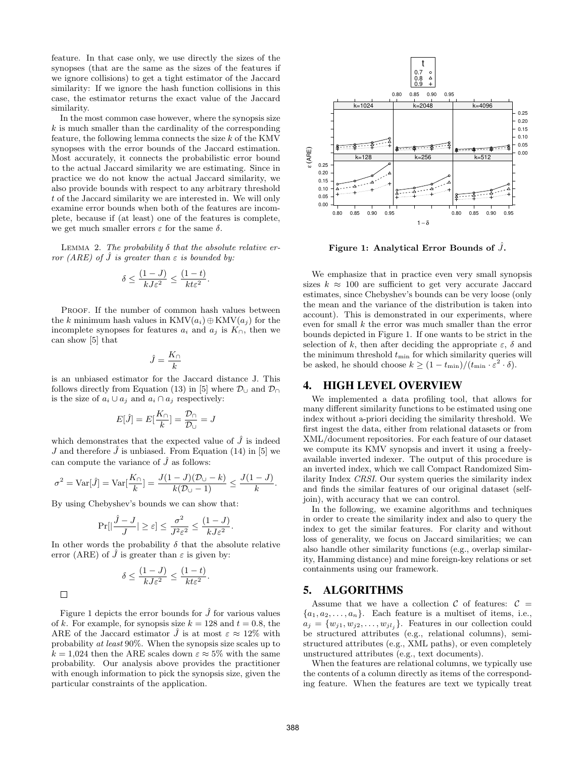feature. In that case only, we use directly the sizes of the synopses (that are the same as the sizes of the features if we ignore collisions) to get a tight estimator of the Jaccard similarity: If we ignore the hash function collisions in this case, the estimator returns the exact value of the Jaccard similarity.

In the most common case however, where the synopsis size  $k$  is much smaller than the cardinality of the corresponding feature, the following lemma connects the size  $k$  of the KMV synopses with the error bounds of the Jaccard estimation. Most accurately, it connects the probabilistic error bound to the actual Jaccard similarity we are estimating. Since in practice we do not know the actual Jaccard similarity, we also provide bounds with respect to any arbitrary threshold t of the Jaccard similarity we are interested in. We will only examine error bounds when both of the features are incomplete, because if (at least) one of the features is complete, we get much smaller errors  $\varepsilon$  for the same  $\delta$ .

<span id="page-4-3"></span>Lemma 2. *The probability* δ *that the absolute relative error* (ARE) of  $\hat{J}$  *is greater than*  $\varepsilon$  *is bounded by:* 

$$
\delta \le \frac{(1-J)}{kJ\varepsilon^2} \le \frac{(1-t)}{kt\varepsilon^2}
$$

.

PROOF. If the number of common hash values between the k minimum hash values in  $KMV(a_i) \oplus KMV(a_j)$  for the incomplete synopses for features  $a_i$  and  $a_j$  is  $K_{\cap}$ , then we can show [\[5\]](#page-11-12) that

$$
\hat{J}=\frac{K_{\cap}}{k}
$$

is an unbiased estimator for the Jaccard distance J. This follows directly from Equation (13) in [\[5\]](#page-11-12) where  $\mathcal{D}_{\cup}$  and  $\mathcal{D}_{\cap}$ is the size of  $a_i \cup a_j$  and  $a_i \cap a_j$  respectively:

$$
E[\hat{J}] = E[\frac{K_{\cap}}{k}] = \frac{\mathcal{D}_{\cap}}{\mathcal{D}_{\cup}} = J
$$

which demonstrates that the expected value of  $\hat{J}$  is indeed J and therefore  $\hat{J}$  is unbiased. From Equation (14) in [\[5\]](#page-11-12) we can compute the variance of  $\hat{J}$  as follows:

$$
\sigma^2 = \text{Var}[\hat{J}] = \text{Var}[\frac{K_{\cap}}{k}] = \frac{J(1-J)(\mathcal{D}_{\cup} - k)}{k(\mathcal{D}_{\cup} - 1)} \le \frac{J(1-J)}{k}.
$$

By using Chebyshev's bounds we can show that:

$$
\Pr[|\frac{\hat{J}-J}{J}| \geq \varepsilon] \leq \frac{\sigma^2}{J^2 \varepsilon^2} \leq \frac{(1-J)}{kJ\varepsilon^2}.
$$

In other words the probability  $\delta$  that the absolute relative error (ARE) of  $\tilde{J}$  is greater than  $\varepsilon$  is given by:

$$
\delta \le \frac{(1-J)}{kJ\varepsilon^2} \le \frac{(1-t)}{kt\varepsilon^2}.
$$

 $\Box$ 

Figure [1](#page-4-2) depicts the error bounds for  $\hat{J}$  for various values of k. For example, for synopsis size  $k = 128$  and  $t = 0.8$ , the ARE of the Jaccard estimator J is at most  $\varepsilon \approx 12\%$  with probability *at least* 90%. When the synopsis size scales up to  $k = 1,024$  then the ARE scales down  $\varepsilon \approx 5\%$  with the same probability. Our analysis above provides the practitioner with enough information to pick the synopsis size, given the particular constraints of the application.



<span id="page-4-2"></span>Figure 1: Analytical Error Bounds of  $\hat{J}$ .

We emphasize that in practice even very small synopsis sizes  $k \approx 100$  are sufficient to get very accurate Jaccard estimates, since Chebyshev's bounds can be very loose (only the mean and the variance of the distribution is taken into account). This is demonstrated in our experiments, where even for small k the error was much smaller than the error bounds depicted in Figure [1.](#page-4-2) If one wants to be strict in the selection of k, then after deciding the appropriate  $\varepsilon$ ,  $\delta$  and the minimum threshold  $t_{\min}$  for which similarity queries will be asked, he should choose  $k \geq (1 - t_{\min})/(t_{\min} \cdot \varepsilon^2 \cdot \delta).$ 

## <span id="page-4-0"></span>**4. HIGH LEVEL OVERVIEW**

We implemented a data profiling tool, that allows for many different similarity functions to be estimated using one index without a-priori deciding the similarity threshold. We first ingest the data, either from relational datasets or from XML/document repositories. For each feature of our dataset we compute its KMV synopsis and invert it using a freelyavailable inverted indexer. The output of this procedure is an inverted index, which we call Compact Randomized Similarity Index *CRSI*. Our system queries the similarity index and finds the similar features of our original dataset (selfjoin), with accuracy that we can control.

In the following, we examine algorithms and techniques in order to create the similarity index and also to query the index to get the similar features. For clarity and without loss of generality, we focus on Jaccard similarities; we can also handle other similarity functions (e.g., overlap similarity, Hamming distance) and mine foreign-key relations or set containments using our framework.

## <span id="page-4-1"></span>**5. ALGORITHMS**

Assume that we have a collection C of features:  $\mathcal{C} =$  $\{a_1, a_2, \ldots, a_n\}$ . Each feature is a multiset of items, i.e.,  $a_j = \{w_{j1}, w_{j2}, \ldots, w_{jl_j}\}.$  Features in our collection could be structured attributes (e.g., relational columns), semistructured attributes (e.g., XML paths), or even completely unstructured attributes (e.g., text documents).

When the features are relational columns, we typically use the contents of a column directly as items of the corresponding feature. When the features are text we typically treat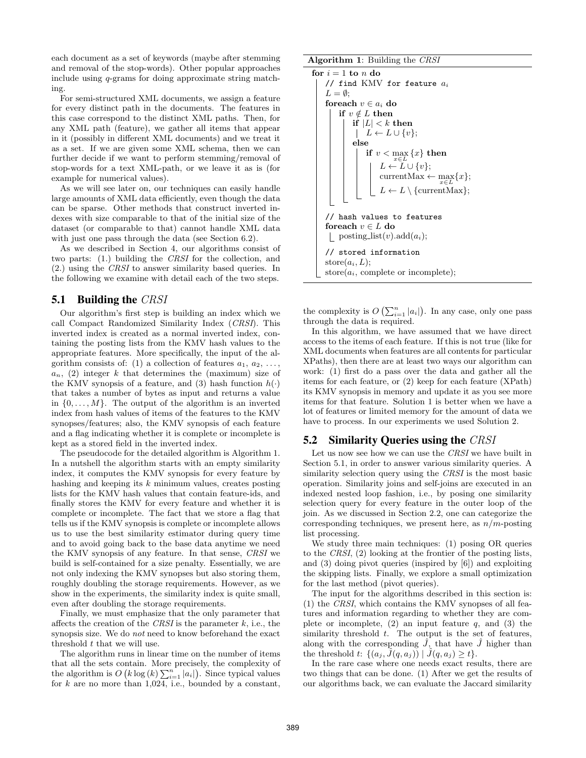each document as a set of keywords (maybe after stemming and removal of the stop-words). Other popular approaches include using q-grams for doing approximate string matching.

For semi-structured XML documents, we assign a feature for every distinct path in the documents. The features in this case correspond to the distinct XML paths. Then, for any XML path (feature), we gather all items that appear in it (possibly in different XML documents) and we treat it as a set. If we are given some XML schema, then we can further decide if we want to perform stemming/removal of stop-words for a text XML-path, or we leave it as is (for example for numerical values).

As we will see later on, our techniques can easily handle large amounts of XML data efficiently, even though the data can be sparse. Other methods that construct inverted indexes with size comparable to that of the initial size of the dataset (or comparable to that) cannot handle XML data with just one pass through the data (see Section [6.2\)](#page-8-0).

As we described in Section [4,](#page-4-0) our algorithms consist of two parts: (1.) building the *CRSI* for the collection, and (2.) using the *CRSI* to answer similarity based queries. In the following we examine with detail each of the two steps.

## <span id="page-5-1"></span>**5.1 Building the** CRSI

Our algorithm's first step is building an index which we call Compact Randomized Similarity Index (*CRSI*). This inverted index is created as a normal inverted index, containing the posting lists from the KMV hash values to the appropriate features. More specifically, the input of the algorithm consists of: (1) a collection of features  $a_1, a_2, \ldots$ ,  $a_n$ , (2) integer k that determines the (maximum) size of the KMV synopsis of a feature, and (3) hash function  $h(\cdot)$ that takes a number of bytes as input and returns a value in  $\{0, \ldots, M\}$ . The output of the algorithm is an inverted index from hash values of items of the features to the KMV synopses/features; also, the KMV synopsis of each feature and a flag indicating whether it is complete or incomplete is kept as a stored field in the inverted index.

<span id="page-5-0"></span>The pseudocode for the detailed algorithm is Algorithm [1.](#page-5-0) In a nutshell the algorithm starts with an empty similarity index, it computes the KMV synopsis for every feature by hashing and keeping its  $k$  minimum values, creates posting lists for the KMV hash values that contain feature-ids, and finally stores the KMV for every feature and whether it is complete or incomplete. The fact that we store a flag that tells us if the KMV synopsis is complete or incomplete allows us to use the best similarity estimator during query time and to avoid going back to the base data anytime we need the KMV synopsis of any feature. In that sense, *CRSI* we build is self-contained for a size penalty. Essentially, we are not only indexing the KMV synopses but also storing them, roughly doubling the storage requirements. However, as we show in the experiments, the similarity index is quite small, even after doubling the storage requirements.

Finally, we must emphasize that the only parameter that affects the creation of the *CRSI* is the parameter k, i.e., the synopsis size. We do *not* need to know beforehand the exact threshold  $t$  that we will use.

The algorithm runs in linear time on the number of items that all the sets contain. More precisely, the complexity of the algorithm is  $O(k \log(k) \sum_{i=1}^{n} |a_i|)$ . Since typical values for  $k$  are no more than 1,024, i.e., bounded by a constant,

Algorithm 1: Building the *CRSI*

```
for i = 1 to n do
    // find KMV for feature a_iL = \emptyset:
    foreach v \in a_i do
        if v \notin L then
             if |L| < k then
              \vert L \leftarrow L \cup \{v\};else
                   \inf\limits_{x\in L} v < \max\limits_{x\in L} \left\{ x\right\} then
                       L \leftarrow L \cup \{v\};currentMax \leftarrow max\{x\};x∈L
                          \leftarrow L \setminus {\text{currentMax}};// hash values to features
    foreach v \in L do
     \Box posting list(v).add(a_i);
    // stored information
    store(a_i, L);store(a_i, complete or incomplete);
```
the complexity is  $O\left(\sum_{i=1}^n |a_i|\right)$ . In any case, only one pass through the data is required.

In this algorithm, we have assumed that we have direct access to the items of each feature. If this is not true (like for XML documents when features are all contents for particular XPaths), then there are at least two ways our algorithm can work: (1) first do a pass over the data and gather all the items for each feature, or (2) keep for each feature (XPath) its KMV synopsis in memory and update it as you see more items for that feature. Solution 1 is better when we have a lot of features or limited memory for the amount of data we have to process. In our experiments we used Solution 2.

## **5.2 Similarity Queries using the** CRSI

Let us now see how we can use the *CRSI* we have built in Section [5.1,](#page-5-1) in order to answer various similarity queries. A similarity selection query using the *CRSI* is the most basic operation. Similarity joins and self-joins are executed in an indexed nested loop fashion, i.e., by posing one similarity selection query for every feature in the outer loop of the join. As we discussed in Section [2.2,](#page-2-0) one can categorize the corresponding techniques, we present here, as  $n/m$ -posting list processing.

We study three main techniques: (1) posing OR queries to the *CRSI*, (2) looking at the frontier of the posting lists, and (3) doing pivot queries (inspired by [\[6\]](#page-11-14)) and exploiting the skipping lists. Finally, we explore a small optimization for the last method (pivot queries).

The input for the algorithms described in this section is: (1) the *CRSI*, which contains the KMV synopses of all features and information regarding to whether they are complete or incomplete,  $(2)$  an input feature q, and  $(3)$  the similarity threshold  $t$ . The output is the set of features, along with the corresponding  $J$ , that have  $J$  higher than the threshold t:  $\{(a_i, J(q, a_i)) | J(q, a_i) \geq t\}.$ 

In the rare case where one needs exact results, there are two things that can be done. (1) After we get the results of our algorithms back, we can evaluate the Jaccard similarity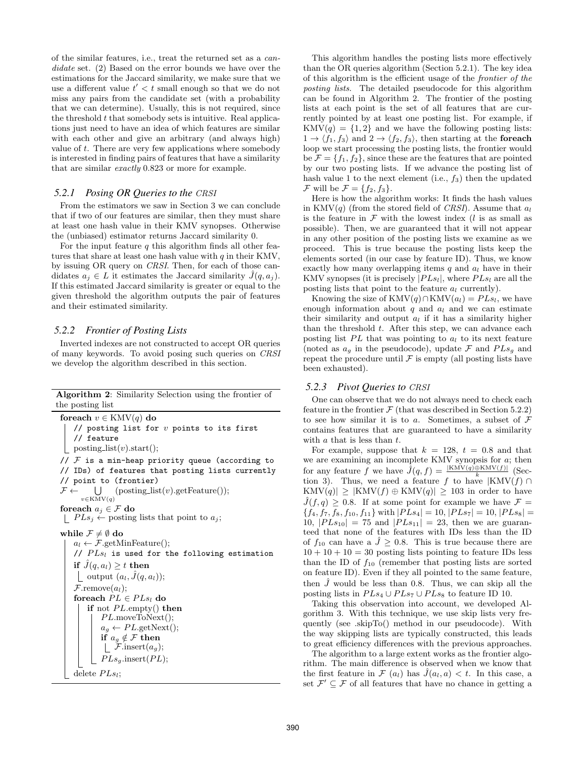of the similar features, i.e., treat the returned set as a *candidate* set. (2) Based on the error bounds we have over the estimations for the Jaccard similarity, we make sure that we use a different value  $t' < t$  small enough so that we do not miss any pairs from the candidate set (with a probability that we can determine). Usually, this is not required, since the threshold  $t$  that somebody sets is intuitive. Real applications just need to have an idea of which features are similar with each other and give an arbitrary (and always high) value of t. There are very few applications where somebody is interested in finding pairs of features that have a similarity that are similar *exactly* 0.823 or more for example.

#### <span id="page-6-0"></span>*5.2.1 Posing OR Queries to the CRSI*

From the estimators we saw in Section [3](#page-3-0) we can conclude that if two of our features are similar, then they must share at least one hash value in their KMV synopses. Otherwise the (unbiased) estimator returns Jaccard similarity 0.

For the input feature  $q$  this algorithm finds all other features that share at least one hash value with  $q$  in their KMV, by issuing OR query on *CRSI*. Then, for each of those candidates  $a_i \in L$  it estimates the Jaccard similarity  $\hat{J}(q, a_i)$ . If this estimated Jaccard similarity is greater or equal to the given threshold the algorithm outputs the pair of features and their estimated similarity.

#### <span id="page-6-2"></span>*5.2.2 Frontier of Posting Lists*

<span id="page-6-1"></span>Inverted indexes are not constructed to accept OR queries of many keywords. To avoid posing such queries on *CRSI* we develop the algorithm described in this section.

| <b>Algorithm 2:</b> Similarity Selection using the frontier of |  |  |  |
|----------------------------------------------------------------|--|--|--|
| the posting list                                               |  |  |  |

```
foreach v \in \text{KMV}(q) do
    // posting list for v points to its first
    // feature
   posting list(v).start();
// F is a min-heap priority queue (according to
// IDs) of features that posting lists currently
// point to (frontier)
\mathcal{F} \leftarrow \bigcup_{v \in \text{KMV}(q)}(posting_list(v).getFeature();
foreach a_j \in \mathcal{F}do
\mid PLs_j \leftarrow posting lists that point to a_j;
while \mathcal{F}\neq \emptyset do
   a_l \leftarrow \mathcal{F}.\text{getMinFeature});
    // PLs_l is used for the following estimation
   if \hat{J}(q, a_l) \geq t then
     | output (a_l, \hat{J}(q, a_l));\mathcal{F}.remove(a_l);
    foreach PL \in PL_{sl} do
        if not PL.empty() then
            PL.moveToNext();
             a_q \leftarrow PL.getNext();
            if a_g \notin \mathcal{F} then
             \lfloor \mathcal{F}.\text{insert}(a_g);PLs_q.insert(PL);
    delete PLs_l;
```
This algorithm handles the posting lists more effectively than the OR queries algorithm (Section [5.2.1\)](#page-6-0). The key idea of this algorithm is the efficient usage of the *frontier of the posting lists*. The detailed pseudocode for this algorithm can be found in Algorithm [2.](#page-6-1) The frontier of the posting lists at each point is the set of all features that are currently pointed by at least one posting list. For example, if  $KMV(q) = \{1, 2\}$  and we have the following posting lists:  $1 \rightarrow \langle f_1, f_3 \rangle$  and  $2 \rightarrow \langle f_2, f_3 \rangle$ , then starting at the foreach loop we start processing the posting lists, the frontier would be  $\mathcal{F} = \{f_1, f_2\}$ , since these are the features that are pointed by our two posting lists. If we advance the posting list of hash value 1 to the next element (i.e.,  $f_3$ ) then the updated  $\mathcal F$  will be  $\mathcal F = \{f_2, f_3\}.$ 

Here is how the algorithm works: It finds the hash values in  $KMV(q)$  (from the stored field of *CRSI*). Assume that  $a_l$ is the feature in  $\mathcal F$  with the lowest index (*l* is as small as possible). Then, we are guaranteed that it will not appear in any other position of the posting lists we examine as we proceed. This is true because the posting lists keep the elements sorted (in our case by feature ID). Thus, we know exactly how many overlapping items  $q$  and  $a_l$  have in their KMV synopses (it is precisely  $|PLs_l|$ , where  $PLs_l$  are all the posting lists that point to the feature  $a_l$  currently).

Knowing the size of  $KMV(q) \cap KMV(a_l) = P Ls_l$ , we have enough information about q and  $a_l$  and we can estimate their similarity and output  $a_l$  if it has a similarity higher than the threshold t. After this step, we can advance each posting list  $PL$  that was pointing to  $a_l$  to its next feature (noted as  $a_g$  in the pseudocode), update  $\mathcal F$  and  $PLs_g$  and repeat the procedure until  $\mathcal F$  is empty (all posting lists have been exhausted).

## *5.2.3 Pivot Queries to CRSI*

One can observe that we do not always need to check each feature in the frontier  $\mathcal F$  (that was described in Section [5.2.2\)](#page-6-2) to see how similar it is to a. Sometimes, a subset of  $\mathcal F$ contains features that are guaranteed to have a similarity with  $a$  that is less than  $t$ .

For example, suppose that  $k = 128$ ,  $t = 0.8$  and that we are examining an incomplete KMV synopsis for  $a$ ; then for any feature f we have  $\hat{J}(q, f) = \frac{|\text{KMV}(q) \oplus \text{KMV}(f)|}{k}$  (Sec-tion [3\)](#page-3-0). Thus, we need a feature f to have  $|KMV(f) \cap$  $KMV(q)| \geq |KMV(f) \oplus KMV(q)| \geq 103$  in order to have  $J(f, q) \geq 0.8$ . If at some point for example we have  $\mathcal{F} =$  ${f_4, f_7, f_8, f_{10}, f_{11}}$  with  $|PLs_4| = 10, |PLs_7| = 10, |PLs_8| =$ 10,  $|PLs_{10}| = 75$  and  $|PLs_{11}| = 23$ , then we are guaranteed that none of the features with IDs less than the ID of  $f_{10}$  can have a  $\hat{J} \geq 0.8$ . This is true because there are  $10 + 10 + 10 = 30$  posting lists pointing to feature IDs less than the ID of  $f_{10}$  (remember that posting lists are sorted on feature ID). Even if they all pointed to the same feature, then  $\hat{J}$  would be less than 0.8. Thus, we can skip all the posting lists in  $PLs_4 \cup PLs_7 \cup PLs_8$  to feature ID 10.

<span id="page-6-3"></span>Taking this observation into account, we developed Algorithm [3.](#page-6-3) With this technique, we use skip lists very frequently (see .skipTo() method in our pseudocode). With the way skipping lists are typically constructed, this leads to great efficiency differences with the previous approaches.

The algorithm to a large extent works as the frontier algorithm. The main difference is observed when we know that the first feature in  $\mathcal{F}(a_l)$  has  $\hat{J}(a_l, a) < t$ . In this case, a set  $\mathcal{F}' \subseteq \mathcal{F}$  of all features that have no chance in getting a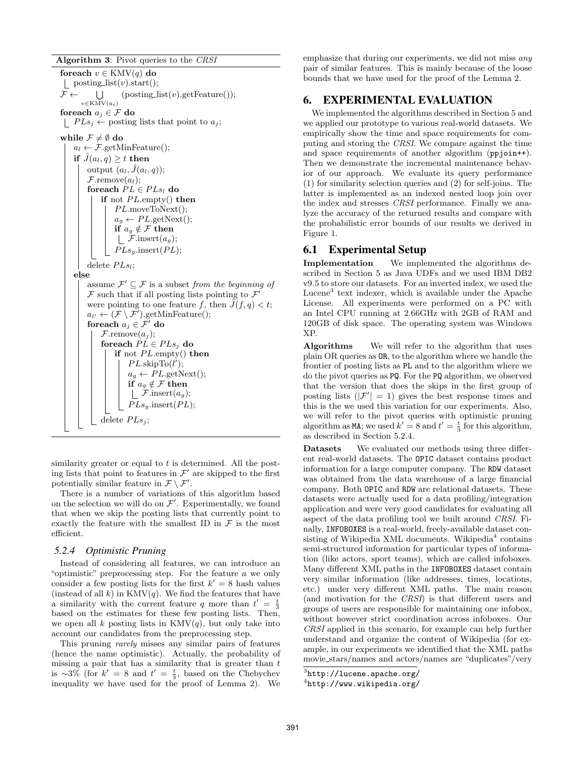Algorithm 3: Pivot queries to the *CRSI*

foreach  $v \in \text{KMV}(q)$  do | posting\_list $(v)$ .start $()$ ;  $F \leftarrow \bigcup$  $v \in$ KMV $(a_i)$  $($ posting\_list $(v)$ .getFeature $($ )); foreach  $a_j \in \mathcal{F}$  do  $\mid$   $PLs_j \leftarrow$  posting lists that point to  $a_j$ ; while  $\mathcal{F} \neq \emptyset$  do  $a_l \leftarrow \mathcal{F}.\text{getMinFeature}$ ); if  $J(a_l, q) \geq t$  then output  $(a_l, \hat{J}(a_l, q))$ ;  $\mathcal{F}$ .remove $(a_l)$ ; foreach  $PL \in PLs_l$  do if not  $PL$ *.empty()* then  $PL$ .moveToNext();  $a_q \leftarrow PL$ .getNext(); if  $a_q \notin \mathcal{F}$  then |  $\mathcal{F}.\text{insert}(a_q);$  $PLs_g.insert(PL);$ delete  $PLs_l$ ; else assume  $\mathcal{F}' \subseteq \mathcal{F}$  is a subset *from the beginning of*  $\mathcal F$  such that if all posting lists pointing to  $\mathcal F'$ were pointing to one feature f, then  $\tilde{J}(f, q) < t$ ;  $a_{l'} \leftarrow (\mathcal{F} \setminus \mathcal{F}')$ .getMinFeature(); foreach  $a_j \in \mathcal{F}'$ do  $\mathcal{F}$ .remove $(a_j);$ foreach  $PL \in P L s_i$  do if not  $PL$ *.empty()* then  $PL$ .skipTo $(l')$ ;  $a_g \leftarrow PL.\text{getNext}();$ if  $a_g \notin \mathcal{F}$  then  $\mathcal{F}.\text{insert}(a_g);$  $PLs_q$ .insert $(PL)$ ; delete  $PLs_i$ ;

similarity greater or equal to  $t$  is determined. All the posting lists that point to features in  $\mathcal{F}'$  are skipped to the first potentially similar feature in  $\mathcal{F} \setminus \mathcal{F}'$ .

There is a number of variations of this algorithm based on the selection we will do on  $\mathcal{F}'$ . Experimentally, we found that when we skip the posting lists that currently point to exactly the feature with the smallest ID in  $\mathcal F$  is the most efficient.

## <span id="page-7-2"></span>*5.2.4 Optimistic Pruning*

Instead of considering all features, we can introduce an "optimistic" preprocessing step. For the feature a we only consider a few posting lists for the first  $k' = 8$  hash values (instead of all k) in  $KMV(q)$ . We find the features that have a similarity with the current feature q more than  $t' = \frac{t}{3}$ based on the estimates for these few posting lists. Then, we open all k posting lists in  $KMV(q)$ , but only take into account our candidates from the preprocessing step.

This pruning *rarely* misses any similar pairs of features (hence the name optimistic). Actually, the probability of missing a pair that has a similarity that is greater than  $t$ is ∼3% (for  $k' = 8$  and  $t' = \frac{t}{3}$ , based on the Chebychev inequality we have used for the proof of Lemma [2\)](#page-4-3). We

emphasize that during our experiments, we did not miss *any* pair of similar features. This is mainly because of the loose bounds that we have used for the proof of the Lemma [2.](#page-4-3)

# <span id="page-7-0"></span>**6. EXPERIMENTAL EVALUATION**

We implemented the algorithms described in Section [5](#page-4-1) and we applied our prototype to various real-world datasets. We empirically show the time and space requirements for computing and storing the *CRSI*. We compare against the time and space requirements of another algorithm (ppjoin++). Then we demonstrate the incremental maintenance behavior of our approach. We evaluate its query performance (1) for similarity selection queries and (2) for self-joins. The latter is implemented as an indexed nested loop join over the index and stresses *CRSI* performance. Finally we analyze the accuracy of the returned results and compare with the probabilistic error bounds of our results we derived in Figure [1.](#page-4-2)

## **6.1 Experimental Setup**

Implementation We implemented the algorithms described in Section [5](#page-4-1) as Java UDFs and we used IBM DB2 v9.5 to store our datasets. For an inverted index, we used the Lucene<sup>[3](#page-7-1)</sup> text indexer, which is available under the Apache License. All experiments were performed on a PC with an Intel CPU running at 2.66GHz with 2GB of RAM and 120GB of disk space. The operating system was Windows XP.

Algorithms We will refer to the algorithm that uses plain OR queries as OR, to the algorithm where we handle the frontier of posting lists as PL and to the algorithm where we do the pivot queries as PQ. For the PQ algorithm, we observed that the version that does the skips in the first group of posting lists  $(|\mathcal{F}'|=1)$  gives the best response times and this is the we used this variation for our experiments. Also, we will refer to the pivot queries with optimistic pruning algorithm as **MA**; we used  $k' = 8$  and  $t' = \frac{t}{3}$  for this algorithm, as described in Section [5.2.4.](#page-7-2)

Datasets We evaluated our methods using three different real-world datasets. The OPIC dataset contains product information for a large computer company. The RDW dataset was obtained from the data warehouse of a large financial company. Both OPIC and RDW are relational datasets. These datasets were actually used for a data profiling/integration application and were very good candidates for evaluating all aspect of the data profiling tool we built around *CRSI*. Finally, INFOBOXES is a real-world, freely-available dataset consisting of Wikipedia XML documents. Wikipedia $^4$  $^4$  contains semi-structured information for particular types of information (like actors, sport teams), which are called infoboxes. Many different XML paths in the INFOBOXES dataset contain very similar information (like addresses, times, locations, etc.) under very different XML paths. The main reason (and motivation for the *CRSI*) is that different users and groups of users are responsible for maintaining one infobox, without however strict coordination across infoboxes. Our *CRSI* applied in this scenario, for example can help further understand and organize the content of Wikipedia (for example, in our experiments we identified that the XML paths movie stars/names and actors/names are "duplicates"/very

 $^3$ http:// $1$ ucene.apache.org/

<span id="page-7-3"></span><span id="page-7-1"></span><sup>4</sup> <http://www.wikipedia.org/>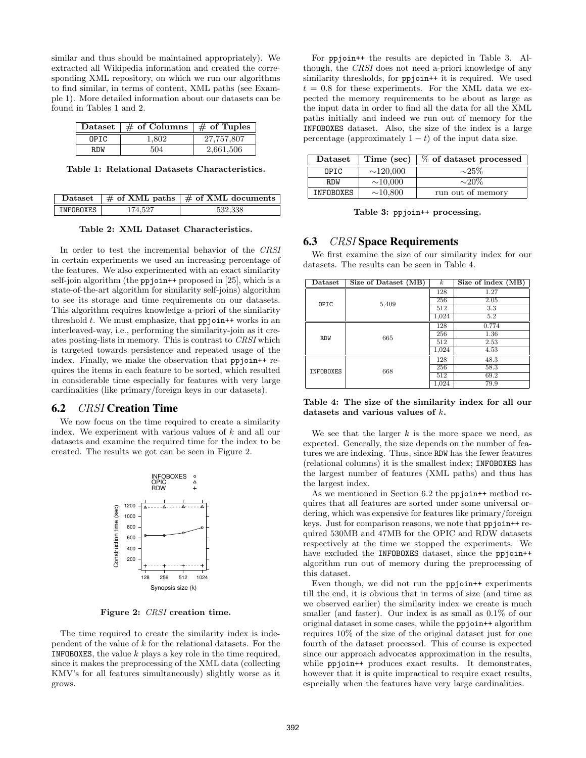similar and thus should be maintained appropriately). We extracted all Wikipedia information and created the corresponding XML repository, on which we run our algorithms to find similar, in terms of content, XML paths (see Example [1\)](#page-1-1). More detailed information about our datasets can be found in Tables [1](#page-8-1) and [2.](#page-8-2)

|       | Dataset $\frac{1}{2}$ of Columns $\frac{1}{2}$ of Tuples |            |
|-------|----------------------------------------------------------|------------|
| OPTC. | 1.802                                                    | 27,757,807 |
| R.DW  | 504                                                      | 2.661.506  |

<span id="page-8-1"></span>Table 1: Relational Datasets Characteristics.

|           |         | Dataset $\frac{1}{2}$ of XML paths $\frac{1}{2}$ of XML documents |
|-----------|---------|-------------------------------------------------------------------|
| INFOBOXES | 174.527 | 532.338                                                           |

<span id="page-8-2"></span>Table 2: XML Dataset Characteristics.

In order to test the incremental behavior of the *CRSI* in certain experiments we used an increasing percentage of the features. We also experimented with an exact similarity self-join algorithm (the ppjoin<sup>++</sup> proposed in [\[25\]](#page-11-10), which is a state-of-the-art algorithm for similarity self-joins) algorithm to see its storage and time requirements on our datasets. This algorithm requires knowledge a-priori of the similarity threshold  $t$ . We must emphasize, that ppjoin<sup>++</sup> works in an interleaved-way, i.e., performing the similarity-join as it creates posting-lists in memory. This is contrast to *CRSI* which is targeted towards persistence and repeated usage of the index. Finally, we make the observation that ppjoin + requires the items in each feature to be sorted, which resulted in considerable time especially for features with very large cardinalities (like primary/foreign keys in our datasets).

#### <span id="page-8-0"></span>**6.2** CRSI **Creation Time**

We now focus on the time required to create a similarity index. We experiment with various values of k and all our datasets and examine the required time for the index to be created. The results we got can be seen in Figure [2.](#page-8-3)



<span id="page-8-3"></span>Figure 2: *CRSI* creation time.

The time required to create the similarity index is independent of the value of k for the relational datasets. For the **INFOBOXES**, the value  $k$  plays a key role in the time required, since it makes the preprocessing of the XML data (collecting KMV's for all features simultaneously) slightly worse as it grows.

For ppjoin++ the results are depicted in Table [3.](#page-8-4) Although, the *CRSI* does not need a-priori knowledge of any similarity thresholds, for ppjoin++ it is required. We used  $t = 0.8$  for these experiments. For the XML data we expected the memory requirements to be about as large as the input data in order to find all the data for all the XML paths initially and indeed we run out of memory for the INFOBOXES dataset. Also, the size of the index is a large percentage (approximately  $1 - t$ ) of the input data size.

| Dataset    | Time (sec)     | % of dataset processed |
|------------|----------------|------------------------|
| OPTC       | $\sim$ 120,000 | $\sim$ 25%             |
| <b>RDW</b> | ${\sim}10,000$ | $\sim 20\%$            |
| INFOBOXES  | ${\sim}10,800$ | run out of memory      |

<span id="page-8-4"></span>Table 3: ppjoin++ processing.

## **6.3** CRSI **Space Requirements**

We first examine the size of our similarity index for our datasets. The results can be seen in Table [4.](#page-8-5)

| $\mathbf{D}\text{at } \text{aset}$ | Size of Dataset (MB) | $\boldsymbol{k}$ | Size of index (MB) |
|------------------------------------|----------------------|------------------|--------------------|
| OPIC                               | 5,409                | 128              | 1.27               |
|                                    |                      | 256              | 2.05               |
|                                    |                      | 512              | 3.3                |
|                                    |                      | 1,024            | 5.2                |
| <b>RDW</b>                         | 665                  | 128              | 0.774              |
|                                    |                      | 256              | 1.36               |
|                                    |                      | 512              | 2.53               |
|                                    |                      | 1,024            | 4.53               |
| <b>INFOBOXES</b>                   | 668                  | 128              | 48.3               |
|                                    |                      | 256              | 58.3               |
|                                    |                      | 512              | 69.2               |
|                                    |                      | 1,024            | 79.9               |

<span id="page-8-5"></span>Table 4: The size of the similarity index for all our datasets and various values of k.

We see that the larger  $k$  is the more space we need, as expected. Generally, the size depends on the number of features we are indexing. Thus, since RDW has the fewer features (relational columns) it is the smallest index; INFOBOXES has the largest number of features (XML paths) and thus has the largest index.

As we mentioned in Section [6.2](#page-8-0) the ppjoin++ method requires that all features are sorted under some universal ordering, which was expensive for features like primary/foreign keys. Just for comparison reasons, we note that ppjoin++ required 530MB and 47MB for the OPIC and RDW datasets respectively at the time we stopped the experiments. We have excluded the INFOBOXES dataset, since the ppjoin++ algorithm run out of memory during the preprocessing of this dataset.

Even though, we did not run the ppjoin++ experiments till the end, it is obvious that in terms of size (and time as we observed earlier) the similarity index we create is much smaller (and faster). Our index is as small as 0.1% of our original dataset in some cases, while the ppjoin++ algorithm requires 10% of the size of the original dataset just for one fourth of the dataset processed. This of course is expected since our approach advocates approximation in the results, while ppjoin++ produces exact results. It demonstrates, however that it is quite impractical to require exact results, especially when the features have very large cardinalities.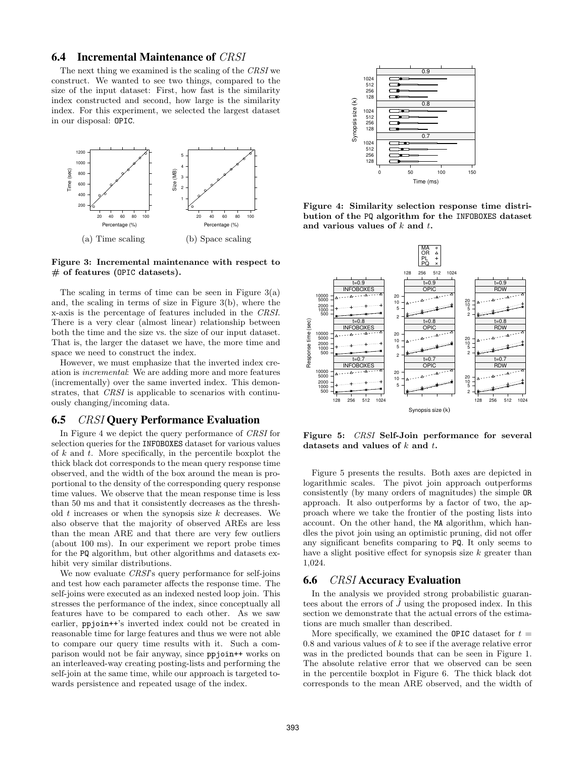## **6.4 Incremental Maintenance of** CRSI

The next thing we examined is the scaling of the *CRSI* we construct. We wanted to see two things, compared to the size of the input dataset: First, how fast is the similarity index constructed and second, how large is the similarity index. For this experiment, we selected the largest dataset in our disposal: OPIC.



<span id="page-9-0"></span>Figure 3: Incremental maintenance with respect to  $#$  of features (OPIC datasets).

The scaling in terms of time can be seen in Figure  $3(a)$ and, the scaling in terms of size in Figure [3\(](#page-9-0)b), where the x-axis is the percentage of features included in the *CRSI*. There is a very clear (almost linear) relationship between both the time and the size vs. the size of our input dataset. That is, the larger the dataset we have, the more time and space we need to construct the index.

However, we must emphasize that the inverted index creation is *incremental*: We are adding more and more features (incrementally) over the same inverted index. This demonstrates, that *CRSI* is applicable to scenarios with continuously changing/incoming data.

## **6.5** CRSI **Query Performance Evaluation**

In Figure [4](#page-9-1) we depict the query performance of *CRSI* for selection queries for the INFOBOXES dataset for various values of  $k$  and  $t$ . More specifically, in the percentile boxplot the thick black dot corresponds to the mean query response time observed, and the width of the box around the mean is proportional to the density of the corresponding query response time values. We observe that the mean response time is less than 50 ms and that it consistently decreases as the threshold  $t$  increases or when the synopsis size  $k$  decreases. We also observe that the majority of observed AREs are less than the mean ARE and that there are very few outliers (about 100 ms). In our experiment we report probe times for the PQ algorithm, but other algorithms and datasets exhibit very similar distributions.

We now evaluate *CRSI*'s query performance for self-joins and test how each parameter affects the response time. The self-joins were executed as an indexed nested loop join. This stresses the performance of the index, since conceptually all features have to be compared to each other. As we saw earlier, ppjoin++'s inverted index could not be created in reasonable time for large features and thus we were not able to compare our query time results with it. Such a comparison would not be fair anyway, since ppjoin++ works on an interleaved-way creating posting-lists and performing the self-join at the same time, while our approach is targeted towards persistence and repeated usage of the index.



<span id="page-9-1"></span>Figure 4: Similarity selection response time distribution of the PQ algorithm for the INFOBOXES dataset and various values of  $k$  and  $t$ .



<span id="page-9-2"></span>Figure 5: *CRSI* Self-Join performance for several datasets and values of  $k$  and  $t$ .

Figure [5](#page-9-2) presents the results. Both axes are depicted in logarithmic scales. The pivot join approach outperforms consistently (by many orders of magnitudes) the simple OR approach. It also outperforms by a factor of two, the approach where we take the frontier of the posting lists into account. On the other hand, the MA algorithm, which handles the pivot join using an optimistic pruning, did not offer any significant benefits comparing to PQ. It only seems to have a slight positive effect for synopsis size  $k$  greater than 1,024.

#### **6.6** CRSI **Accuracy Evaluation**

In the analysis we provided strong probabilistic guarantees about the errors of  $\ddot{J}$  using the proposed index. In this section we demonstrate that the actual errors of the estimations are much smaller than described.

More specifically, we examined the OPIC dataset for  $t =$  $0.8$  and various values of k to see if the average relative error was in the predicted bounds that can be seen in Figure [1.](#page-4-2) The absolute relative error that we observed can be seen in the percentile boxplot in Figure [6.](#page-10-0) The thick black dot corresponds to the mean ARE observed, and the width of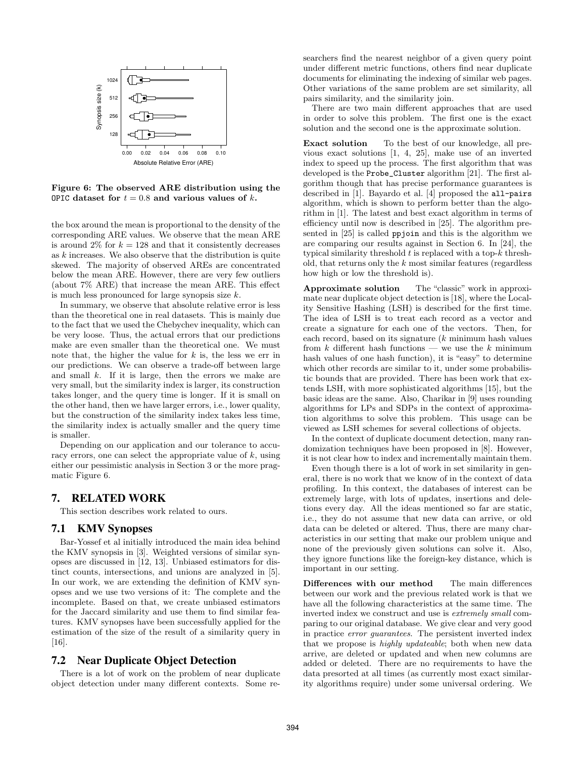

<span id="page-10-0"></span>Figure 6: The observed ARE distribution using the OPIC dataset for  $t = 0.8$  and various values of k.

the box around the mean is proportional to the density of the corresponding ARE values. We observe that the mean ARE is around 2% for  $k = 128$  and that it consistently decreases as k increases. We also observe that the distribution is quite skewed. The majority of observed AREs are concentrated below the mean ARE. However, there are very few outliers (about 7% ARE) that increase the mean ARE. This effect is much less pronounced for large synopsis size  $k$ .

In summary, we observe that absolute relative error is less than the theoretical one in real datasets. This is mainly due to the fact that we used the Chebychev inequality, which can be very loose. Thus, the actual errors that our predictions make are even smaller than the theoretical one. We must note that, the higher the value for  $k$  is, the less we err in our predictions. We can observe a trade-off between large and small  $k$ . If it is large, then the errors we make are very small, but the similarity index is larger, its construction takes longer, and the query time is longer. If it is small on the other hand, then we have larger errors, i.e., lower quality, but the construction of the similarity index takes less time, the similarity index is actually smaller and the query time is smaller.

Depending on our application and our tolerance to accuracy errors, one can select the appropriate value of  $k$ , using either our pessimistic analysis in Section [3](#page-3-0) or the more pragmatic Figure [6.](#page-10-0)

## **7. RELATED WORK**

This section describes work related to ours.

## **7.1 KMV Synopses**

Bar-Yossef et al initially introduced the main idea behind the KMV synopsis in [\[3\]](#page-11-16). Weighted versions of similar synopses are discussed in [\[12,](#page-11-17) [13\]](#page-11-18). Unbiased estimators for distinct counts, intersections, and unions are analyzed in [\[5\]](#page-11-12). In our work, we are extending the definition of KMV synopses and we use two versions of it: The complete and the incomplete. Based on that, we create unbiased estimators for the Jaccard similarity and use them to find similar features. KMV synopses have been successfully applied for the estimation of the size of the result of a similarity query in [\[16\]](#page-11-11).

## **7.2 Near Duplicate Object Detection**

There is a lot of work on the problem of near duplicate object detection under many different contexts. Some researchers find the nearest neighbor of a given query point under different metric functions, others find near duplicate documents for eliminating the indexing of similar web pages. Other variations of the same problem are set similarity, all pairs similarity, and the similarity join.

There are two main different approaches that are used in order to solve this problem. The first one is the exact solution and the second one is the approximate solution.

Exact solution To the best of our knowledge, all previous exact solutions [\[1,](#page-11-5) [4,](#page-11-6) [25\]](#page-11-10), make use of an inverted index to speed up the process. The first algorithm that was developed is the Probe\_Cluster algorithm [\[21\]](#page-11-9). The first algorithm though that has precise performance guarantees is described in [\[1\]](#page-11-5). Bayardo et al. [\[4\]](#page-11-6) proposed the all-pairs algorithm, which is shown to perform better than the algorithm in [\[1\]](#page-11-5). The latest and best exact algorithm in terms of efficiency until now is described in [\[25\]](#page-11-10). The algorithm presented in [\[25\]](#page-11-10) is called ppjoin and this is the algorithm we are comparing our results against in Section [6.](#page-7-0) In [\[24\]](#page-11-19), the typical similarity threshold  $t$  is replaced with a top- $k$  threshold, that returns only the  $k$  most similar features (regardless how high or low the threshold is).

Approximate solution The "classic" work in approximate near duplicate object detection is [\[18\]](#page-11-20), where the Locality Sensitive Hashing (LSH) is described for the first time. The idea of LSH is to treat each record as a vector and create a signature for each one of the vectors. Then, for each record, based on its signature  $(k \text{ minimum hash values})$ from  $k$  different hash functions — we use the  $k$  minimum hash values of one hash function), it is "easy" to determine which other records are similar to it, under some probabilistic bounds that are provided. There has been work that extends LSH, with more sophisticated algorithms [\[15\]](#page-11-21), but the basic ideas are the same. Also, Charikar in [\[9\]](#page-11-22) uses rounding algorithms for LPs and SDPs in the context of approximation algorithms to solve this problem. This usage can be viewed as LSH schemes for several collections of objects.

In the context of duplicate document detection, many randomization techniques have been proposed in [\[8\]](#page-11-23). However, it is not clear how to index and incrementally maintain them.

Even though there is a lot of work in set similarity in general, there is no work that we know of in the context of data profiling. In this context, the databases of interest can be extremely large, with lots of updates, insertions and deletions every day. All the ideas mentioned so far are static, i.e., they do not assume that new data can arrive, or old data can be deleted or altered. Thus, there are many characteristics in our setting that make our problem unique and none of the previously given solutions can solve it. Also, they ignore functions like the foreign-key distance, which is important in our setting.

Differences with our method The main differences between our work and the previous related work is that we have all the following characteristics at the same time. The inverted index we construct and use is *extremely small* comparing to our original database. We give clear and very good in practice *error guarantees*. The persistent inverted index that we propose is *highly updateable*; both when new data arrive, are deleted or updated and when new columns are added or deleted. There are no requirements to have the data presorted at all times (as currently most exact similarity algorithms require) under some universal ordering. We